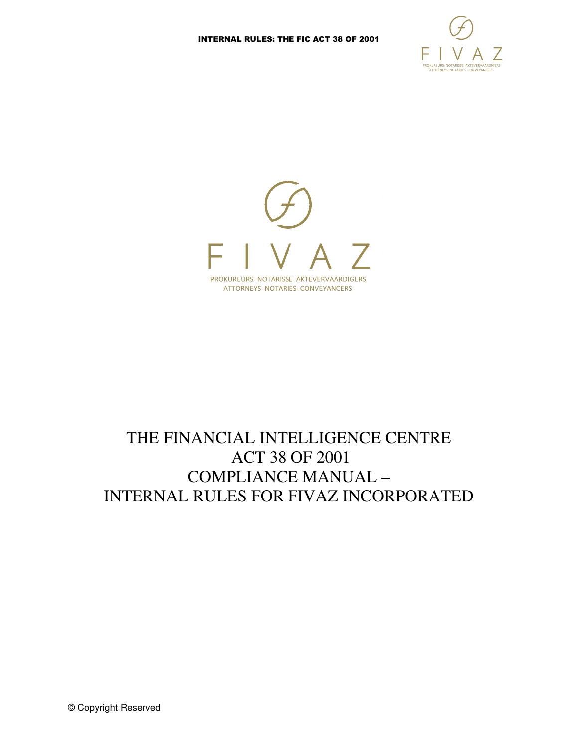



# THE FINANCIAL INTELLIGENCE CENTRE ACT 38 OF 2001 COMPLIANCE MANUAL – INTERNAL RULES FOR FIVAZ INCORPORATED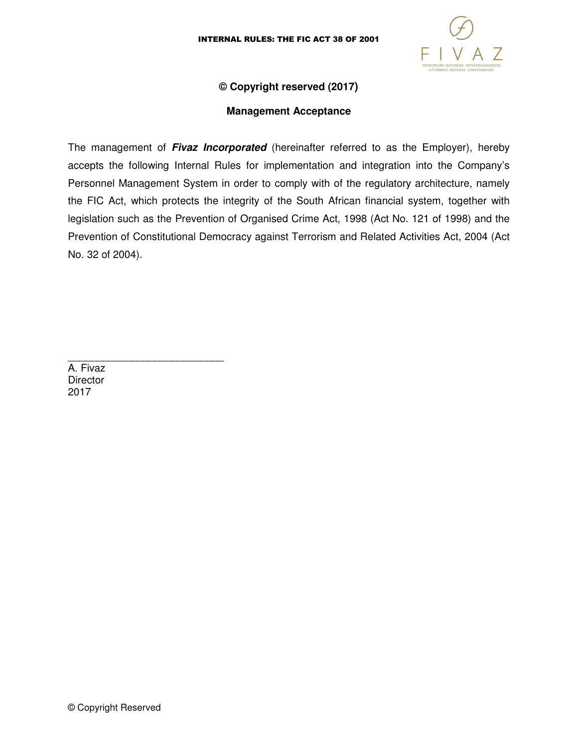

### **© Copyright reserved (2017)**

#### **Management Acceptance**

The management of **Fivaz Incorporated** (hereinafter referred to as the Employer), hereby accepts the following Internal Rules for implementation and integration into the Company's Personnel Management System in order to comply with of the regulatory architecture, namely the FIC Act, which protects the integrity of the South African financial system, together with legislation such as the Prevention of Organised Crime Act, 1998 (Act No. 121 of 1998) and the Prevention of Constitutional Democracy against Terrorism and Related Activities Act, 2004 (Act No. 32 of 2004).

A. Fivaz **Director** 2017

\_\_\_\_\_\_\_\_\_\_\_\_\_\_\_\_\_\_\_\_\_\_\_\_\_\_\_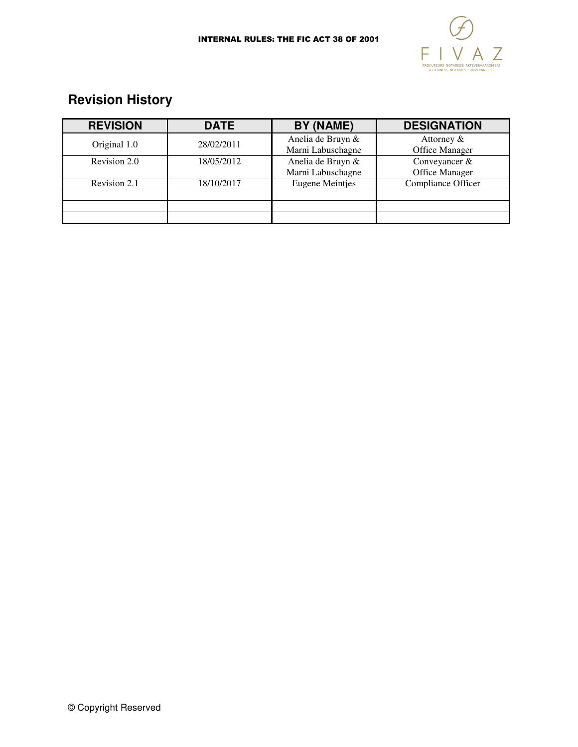

# **Revision History**

| <b>REVISION</b> | <b>DATE</b> | BY (NAME)                              | <b>DESIGNATION</b>              |
|-----------------|-------------|----------------------------------------|---------------------------------|
| Original 1.0    | 28/02/2011  | Anelia de Bruyn &<br>Marni Labuschagne | Attorney &<br>Office Manager    |
| Revision 2.0    | 18/05/2012  | Anelia de Bruyn &<br>Marni Labuschagne | Conveyancer &<br>Office Manager |
| Revision 2.1    | 18/10/2017  | <b>Eugene Meintjes</b>                 | Compliance Officer              |
|                 |             |                                        |                                 |
|                 |             |                                        |                                 |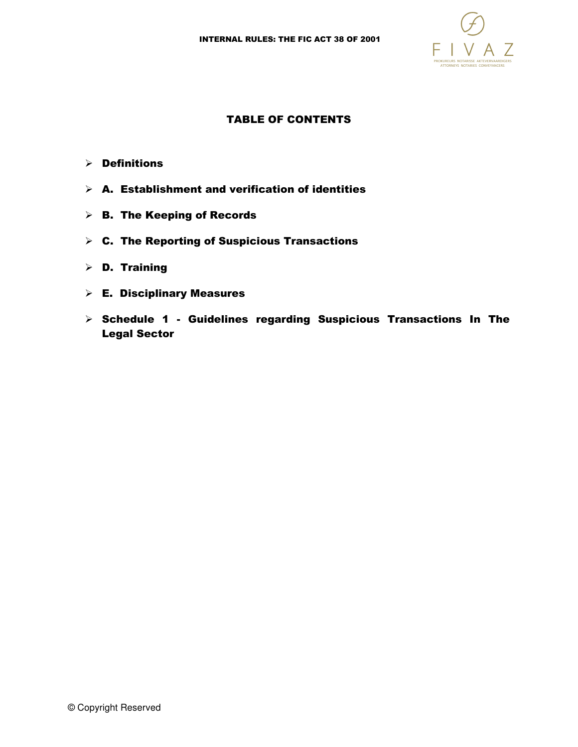

#### TABLE OF CONTENTS

- $\triangleright$  Definitions
- $\triangleright$  A. Establishment and verification of identities
- $\triangleright$  B. The Keeping of Records
- $\triangleright$  C. The Reporting of Suspicious Transactions
- D. Training
- $\triangleright$  E. Disciplinary Measures
- $\triangleright$  Schedule 1 Guidelines regarding Suspicious Transactions In The Legal Sector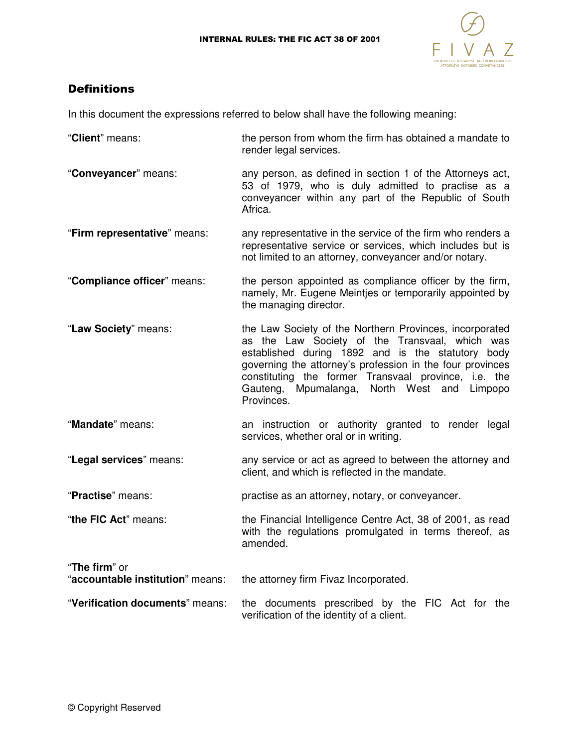

## **Definitions**

In this document the expressions referred to below shall have the following meaning:

- "**Client**" means: the person from whom the firm has obtained a mandate to render legal services.
- "**Conveyancer**" means: any person, as defined in section 1 of the Attorneys act, 53 of 1979, who is duly admitted to practise as a conveyancer within any part of the Republic of South Africa.
- "**Firm representative**" means: any representative in the service of the firm who renders a representative service or services, which includes but is not limited to an attorney, conveyancer and/or notary.
- "**Compliance officer**" means: the person appointed as compliance officer by the firm, namely, Mr. Eugene Meintjes or temporarily appointed by the managing director.
- "**Law Society**" means: the Law Society of the Northern Provinces, incorporated as the Law Society of the Transvaal, which was established during 1892 and is the statutory body governing the attorney's profession in the four provinces constituting the former Transvaal province, i.e. the Gauteng, Mpumalanga, North West and Limpopo Provinces.
- "**Mandate**" means: an instruction or authority granted to render legal services, whether oral or in writing.
- "**Legal services**" means: any service or act as agreed to between the attorney and client, and which is reflected in the mandate.

"**Practise**" means: practise as an attorney, notary, or conveyancer.

- "**the FIC Act**" means: the Financial Intelligence Centre Act, 38 of 2001, as read with the regulations promulgated in terms thereof, as amended.
- "**The firm**" or "**accountable institution**" means: the attorney firm Fivaz Incorporated. "**Verification documents**" means: the documents prescribed by the FIC Act for the verification of the identity of a client.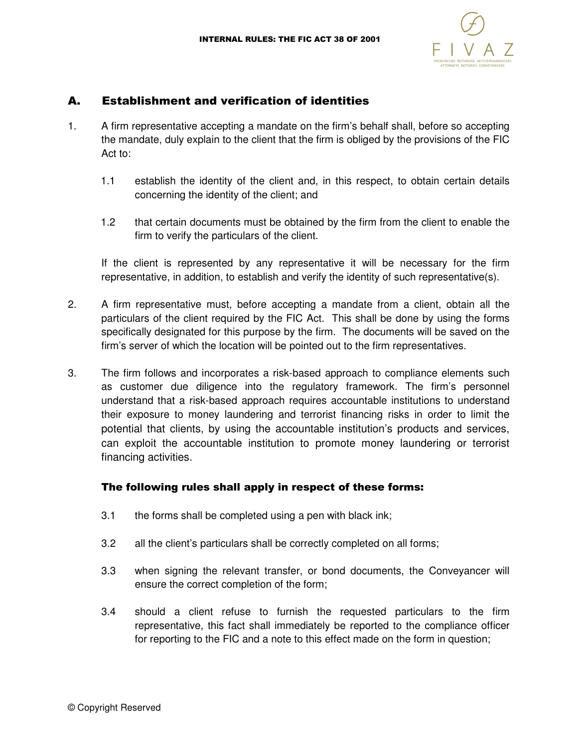

## A. Establishment and verification of identities

- 1. A firm representative accepting a mandate on the firm's behalf shall, before so accepting the mandate, duly explain to the client that the firm is obliged by the provisions of the FIC Act to:
	- 1.1 establish the identity of the client and, in this respect, to obtain certain details concerning the identity of the client; and
	- 1.2 that certain documents must be obtained by the firm from the client to enable the firm to verify the particulars of the client.

If the client is represented by any representative it will be necessary for the firm representative, in addition, to establish and verify the identity of such representative(s).

- 2. A firm representative must, before accepting a mandate from a client, obtain all the particulars of the client required by the FIC Act. This shall be done by using the forms specifically designated for this purpose by the firm. The documents will be saved on the firm's server of which the location will be pointed out to the firm representatives.
- 3. The firm follows and incorporates a risk-based approach to compliance elements such as customer due diligence into the regulatory framework. The firm's personnel understand that a risk-based approach requires accountable institutions to understand their exposure to money laundering and terrorist financing risks in order to limit the potential that clients, by using the accountable institution's products and services, can exploit the accountable institution to promote money laundering or terrorist financing activities.

### The following rules shall apply in respect of these forms:

- 3.1 the forms shall be completed using a pen with black ink;
- 3.2 all the client's particulars shall be correctly completed on all forms;
- 3.3 when signing the relevant transfer, or bond documents, the Conveyancer will ensure the correct completion of the form;
- 3.4 should a client refuse to furnish the requested particulars to the firm representative, this fact shall immediately be reported to the compliance officer for reporting to the FIC and a note to this effect made on the form in question;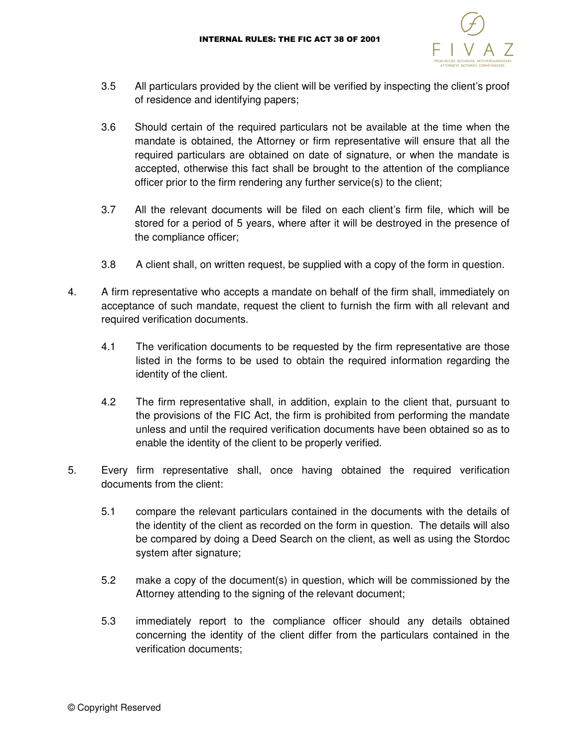

- 3.5 All particulars provided by the client will be verified by inspecting the client's proof of residence and identifying papers;
- 3.6 Should certain of the required particulars not be available at the time when the mandate is obtained, the Attorney or firm representative will ensure that all the required particulars are obtained on date of signature, or when the mandate is accepted, otherwise this fact shall be brought to the attention of the compliance officer prior to the firm rendering any further service(s) to the client;
- 3.7 All the relevant documents will be filed on each client's firm file, which will be stored for a period of 5 years, where after it will be destroyed in the presence of the compliance officer;
- 3.8 A client shall, on written request, be supplied with a copy of the form in question.
- 4. A firm representative who accepts a mandate on behalf of the firm shall, immediately on acceptance of such mandate, request the client to furnish the firm with all relevant and required verification documents.
	- 4.1 The verification documents to be requested by the firm representative are those listed in the forms to be used to obtain the required information regarding the identity of the client.
	- 4.2 The firm representative shall, in addition, explain to the client that, pursuant to the provisions of the FIC Act, the firm is prohibited from performing the mandate unless and until the required verification documents have been obtained so as to enable the identity of the client to be properly verified.
- 5. Every firm representative shall, once having obtained the required verification documents from the client:
	- 5.1 compare the relevant particulars contained in the documents with the details of the identity of the client as recorded on the form in question. The details will also be compared by doing a Deed Search on the client, as well as using the Stordoc system after signature;
	- 5.2 make a copy of the document(s) in question, which will be commissioned by the Attorney attending to the signing of the relevant document;
	- 5.3 immediately report to the compliance officer should any details obtained concerning the identity of the client differ from the particulars contained in the verification documents;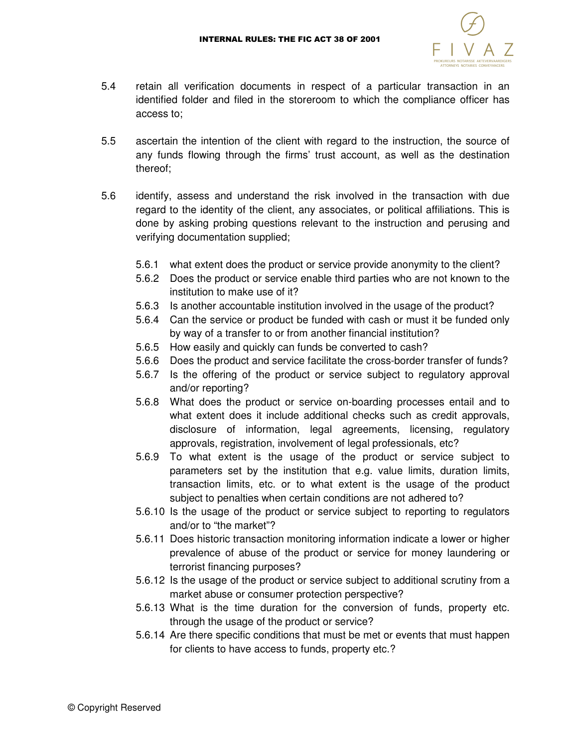

- 5.4 retain all verification documents in respect of a particular transaction in an identified folder and filed in the storeroom to which the compliance officer has access to;
- 5.5 ascertain the intention of the client with regard to the instruction, the source of any funds flowing through the firms' trust account, as well as the destination thereof;
- 5.6 identify, assess and understand the risk involved in the transaction with due regard to the identity of the client, any associates, or political affiliations. This is done by asking probing questions relevant to the instruction and perusing and verifying documentation supplied;
	- 5.6.1 what extent does the product or service provide anonymity to the client?
	- 5.6.2 Does the product or service enable third parties who are not known to the institution to make use of it?
	- 5.6.3 Is another accountable institution involved in the usage of the product?
	- 5.6.4 Can the service or product be funded with cash or must it be funded only by way of a transfer to or from another financial institution?
	- 5.6.5 How easily and quickly can funds be converted to cash?
	- 5.6.6 Does the product and service facilitate the cross-border transfer of funds?
	- 5.6.7 Is the offering of the product or service subject to regulatory approval and/or reporting?
	- 5.6.8 What does the product or service on-boarding processes entail and to what extent does it include additional checks such as credit approvals, disclosure of information, legal agreements, licensing, regulatory approvals, registration, involvement of legal professionals, etc?
	- 5.6.9 To what extent is the usage of the product or service subject to parameters set by the institution that e.g. value limits, duration limits, transaction limits, etc. or to what extent is the usage of the product subject to penalties when certain conditions are not adhered to?
	- 5.6.10 Is the usage of the product or service subject to reporting to regulators and/or to "the market"?
	- 5.6.11 Does historic transaction monitoring information indicate a lower or higher prevalence of abuse of the product or service for money laundering or terrorist financing purposes?
	- 5.6.12 Is the usage of the product or service subject to additional scrutiny from a market abuse or consumer protection perspective?
	- 5.6.13 What is the time duration for the conversion of funds, property etc. through the usage of the product or service?
	- 5.6.14 Are there specific conditions that must be met or events that must happen for clients to have access to funds, property etc.?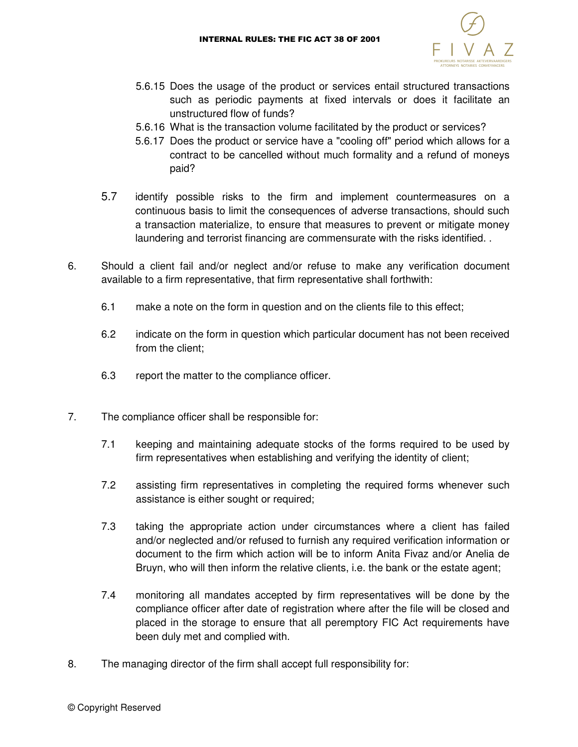

- 5.6.15 Does the usage of the product or services entail structured transactions such as periodic payments at fixed intervals or does it facilitate an unstructured flow of funds?
- 5.6.16 What is the transaction volume facilitated by the product or services?
- 5.6.17 Does the product or service have a "cooling off" period which allows for a contract to be cancelled without much formality and a refund of moneys paid?
- 5.7 identify possible risks to the firm and implement countermeasures on a continuous basis to limit the consequences of adverse transactions, should such a transaction materialize, to ensure that measures to prevent or mitigate money laundering and terrorist financing are commensurate with the risks identified. .
- 6. Should a client fail and/or neglect and/or refuse to make any verification document available to a firm representative, that firm representative shall forthwith:
	- 6.1 make a note on the form in question and on the clients file to this effect;
	- 6.2 indicate on the form in question which particular document has not been received from the client;
	- 6.3 report the matter to the compliance officer.
- 7. The compliance officer shall be responsible for:
	- 7.1 keeping and maintaining adequate stocks of the forms required to be used by firm representatives when establishing and verifying the identity of client;
	- 7.2 assisting firm representatives in completing the required forms whenever such assistance is either sought or required;
	- 7.3 taking the appropriate action under circumstances where a client has failed and/or neglected and/or refused to furnish any required verification information or document to the firm which action will be to inform Anita Fivaz and/or Anelia de Bruyn, who will then inform the relative clients, i.e. the bank or the estate agent;
	- 7.4 monitoring all mandates accepted by firm representatives will be done by the compliance officer after date of registration where after the file will be closed and placed in the storage to ensure that all peremptory FIC Act requirements have been duly met and complied with.
- 8. The managing director of the firm shall accept full responsibility for: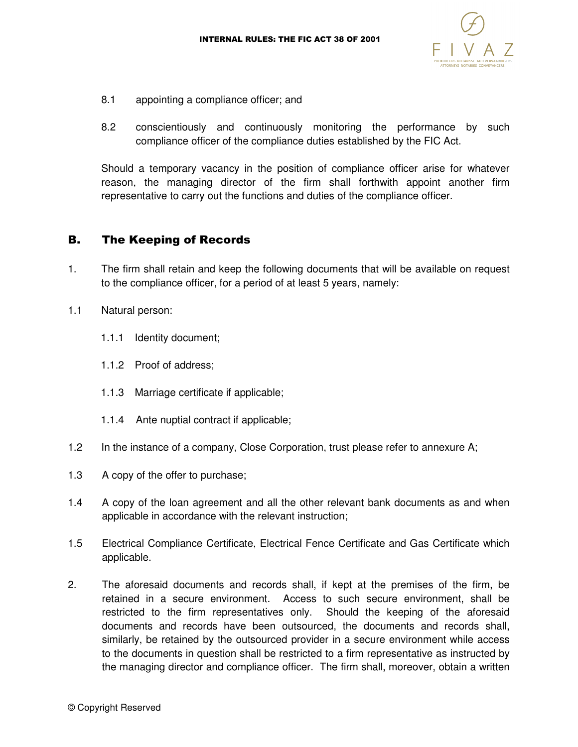

- 8.1 appointing a compliance officer; and
- 8.2 conscientiously and continuously monitoring the performance by such compliance officer of the compliance duties established by the FIC Act.

 Should a temporary vacancy in the position of compliance officer arise for whatever reason, the managing director of the firm shall forthwith appoint another firm representative to carry out the functions and duties of the compliance officer.

### B. The Keeping of Records

- 1. The firm shall retain and keep the following documents that will be available on request to the compliance officer, for a period of at least 5 years, namely:
- 1.1 Natural person:
	- 1.1.1 Identity document;
	- 1.1.2 Proof of address;
	- 1.1.3 Marriage certificate if applicable;
	- 1.1.4 Ante nuptial contract if applicable;
- 1.2 In the instance of a company, Close Corporation, trust please refer to annexure A;
- 1.3 A copy of the offer to purchase;
- 1.4 A copy of the loan agreement and all the other relevant bank documents as and when applicable in accordance with the relevant instruction;
- 1.5 Electrical Compliance Certificate, Electrical Fence Certificate and Gas Certificate which applicable.
- 2. The aforesaid documents and records shall, if kept at the premises of the firm, be retained in a secure environment. Access to such secure environment, shall be restricted to the firm representatives only. Should the keeping of the aforesaid documents and records have been outsourced, the documents and records shall, similarly, be retained by the outsourced provider in a secure environment while access to the documents in question shall be restricted to a firm representative as instructed by the managing director and compliance officer. The firm shall, moreover, obtain a written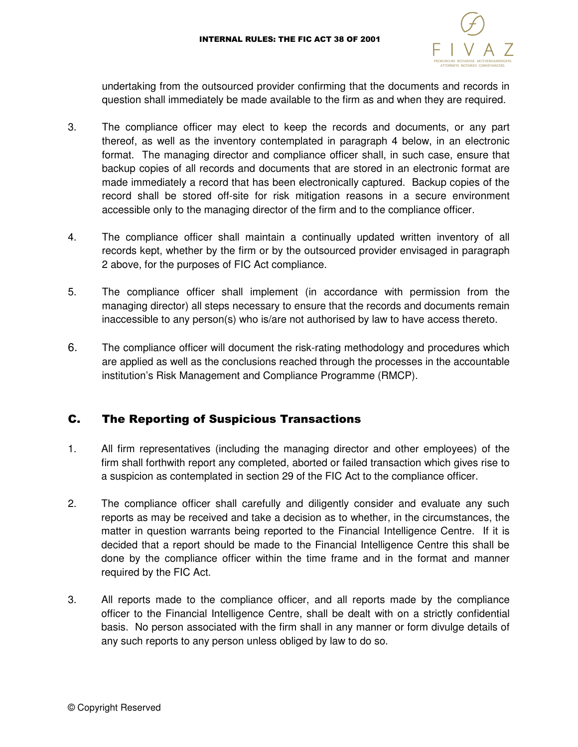

undertaking from the outsourced provider confirming that the documents and records in question shall immediately be made available to the firm as and when they are required.

- 3. The compliance officer may elect to keep the records and documents, or any part thereof, as well as the inventory contemplated in paragraph 4 below, in an electronic format. The managing director and compliance officer shall, in such case, ensure that backup copies of all records and documents that are stored in an electronic format are made immediately a record that has been electronically captured. Backup copies of the record shall be stored off-site for risk mitigation reasons in a secure environment accessible only to the managing director of the firm and to the compliance officer.
- 4. The compliance officer shall maintain a continually updated written inventory of all records kept, whether by the firm or by the outsourced provider envisaged in paragraph 2 above, for the purposes of FIC Act compliance.
- 5. The compliance officer shall implement (in accordance with permission from the managing director) all steps necessary to ensure that the records and documents remain inaccessible to any person(s) who is/are not authorised by law to have access thereto.
- 6. The compliance officer will document the risk-rating methodology and procedures which are applied as well as the conclusions reached through the processes in the accountable institution's Risk Management and Compliance Programme (RMCP).

## C. The Reporting of Suspicious Transactions

- 1. All firm representatives (including the managing director and other employees) of the firm shall forthwith report any completed, aborted or failed transaction which gives rise to a suspicion as contemplated in section 29 of the FIC Act to the compliance officer.
- 2. The compliance officer shall carefully and diligently consider and evaluate any such reports as may be received and take a decision as to whether, in the circumstances, the matter in question warrants being reported to the Financial Intelligence Centre. If it is decided that a report should be made to the Financial Intelligence Centre this shall be done by the compliance officer within the time frame and in the format and manner required by the FIC Act.
- 3. All reports made to the compliance officer, and all reports made by the compliance officer to the Financial Intelligence Centre, shall be dealt with on a strictly confidential basis. No person associated with the firm shall in any manner or form divulge details of any such reports to any person unless obliged by law to do so.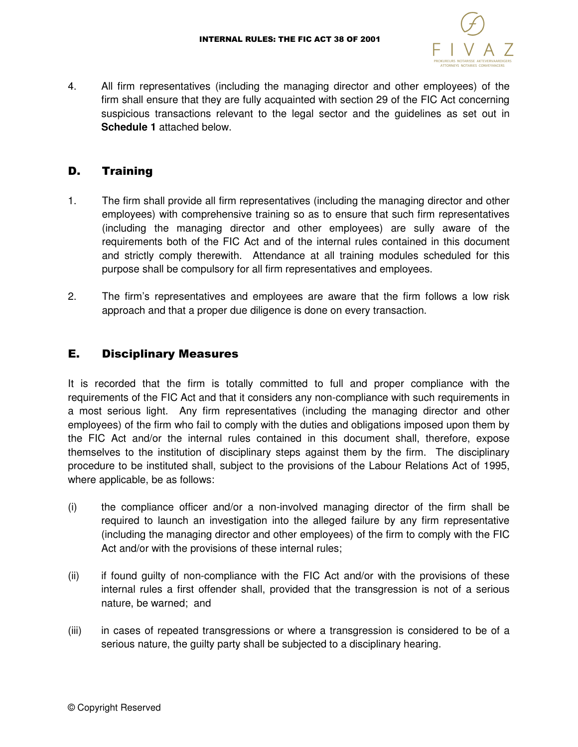

4. All firm representatives (including the managing director and other employees) of the firm shall ensure that they are fully acquainted with section 29 of the FIC Act concerning suspicious transactions relevant to the legal sector and the guidelines as set out in **Schedule 1** attached below.

## D. Training

- 1. The firm shall provide all firm representatives (including the managing director and other employees) with comprehensive training so as to ensure that such firm representatives (including the managing director and other employees) are sully aware of the requirements both of the FIC Act and of the internal rules contained in this document and strictly comply therewith. Attendance at all training modules scheduled for this purpose shall be compulsory for all firm representatives and employees.
- 2. The firm's representatives and employees are aware that the firm follows a low risk approach and that a proper due diligence is done on every transaction.

## E. Disciplinary Measures

It is recorded that the firm is totally committed to full and proper compliance with the requirements of the FIC Act and that it considers any non-compliance with such requirements in a most serious light. Any firm representatives (including the managing director and other employees) of the firm who fail to comply with the duties and obligations imposed upon them by the FIC Act and/or the internal rules contained in this document shall, therefore, expose themselves to the institution of disciplinary steps against them by the firm. The disciplinary procedure to be instituted shall, subject to the provisions of the Labour Relations Act of 1995, where applicable, be as follows:

- (i) the compliance officer and/or a non-involved managing director of the firm shall be required to launch an investigation into the alleged failure by any firm representative (including the managing director and other employees) of the firm to comply with the FIC Act and/or with the provisions of these internal rules;
- (ii) if found guilty of non-compliance with the FIC Act and/or with the provisions of these internal rules a first offender shall, provided that the transgression is not of a serious nature, be warned; and
- (iii) in cases of repeated transgressions or where a transgression is considered to be of a serious nature, the guilty party shall be subjected to a disciplinary hearing.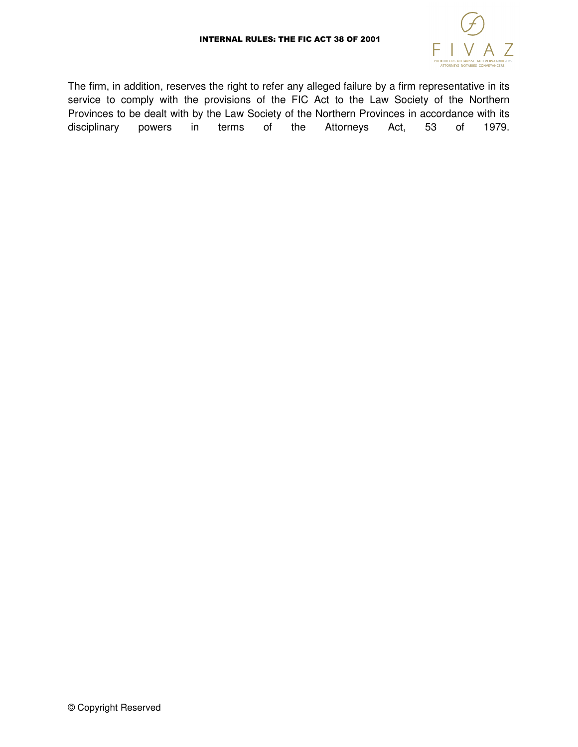

The firm, in addition, reserves the right to refer any alleged failure by a firm representative in its service to comply with the provisions of the FIC Act to the Law Society of the Northern Provinces to be dealt with by the Law Society of the Northern Provinces in accordance with its disciplinary powers in terms of the Attorneys Act, 53 of 1979.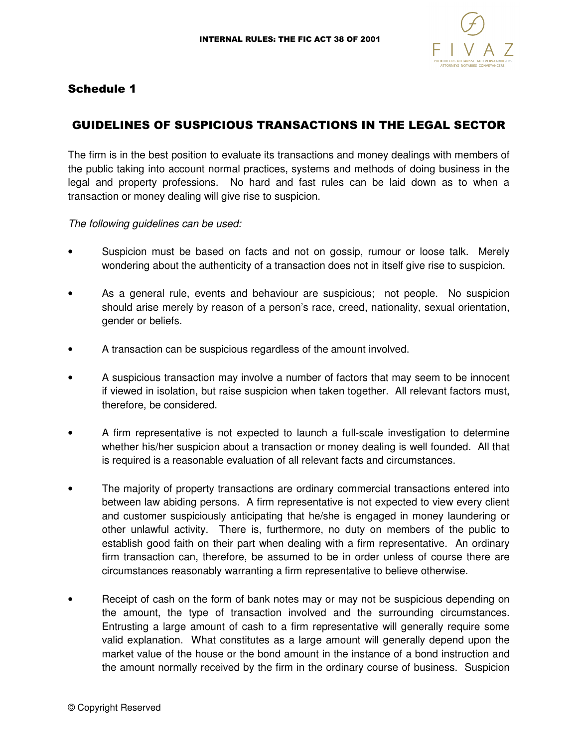

## Schedule 1

## GUIDELINES OF SUSPICIOUS TRANSACTIONS IN THE LEGAL SECTOR

The firm is in the best position to evaluate its transactions and money dealings with members of the public taking into account normal practices, systems and methods of doing business in the legal and property professions. No hard and fast rules can be laid down as to when a transaction or money dealing will give rise to suspicion.

The following guidelines can be used:

- Suspicion must be based on facts and not on gossip, rumour or loose talk. Merely wondering about the authenticity of a transaction does not in itself give rise to suspicion.
- As a general rule, events and behaviour are suspicious; not people. No suspicion should arise merely by reason of a person's race, creed, nationality, sexual orientation, gender or beliefs.
- A transaction can be suspicious regardless of the amount involved.
- A suspicious transaction may involve a number of factors that may seem to be innocent if viewed in isolation, but raise suspicion when taken together. All relevant factors must, therefore, be considered.
- A firm representative is not expected to launch a full-scale investigation to determine whether his/her suspicion about a transaction or money dealing is well founded. All that is required is a reasonable evaluation of all relevant facts and circumstances.
- The majority of property transactions are ordinary commercial transactions entered into between law abiding persons. A firm representative is not expected to view every client and customer suspiciously anticipating that he/she is engaged in money laundering or other unlawful activity. There is, furthermore, no duty on members of the public to establish good faith on their part when dealing with a firm representative. An ordinary firm transaction can, therefore, be assumed to be in order unless of course there are circumstances reasonably warranting a firm representative to believe otherwise.
- Receipt of cash on the form of bank notes may or may not be suspicious depending on the amount, the type of transaction involved and the surrounding circumstances. Entrusting a large amount of cash to a firm representative will generally require some valid explanation. What constitutes as a large amount will generally depend upon the market value of the house or the bond amount in the instance of a bond instruction and the amount normally received by the firm in the ordinary course of business. Suspicion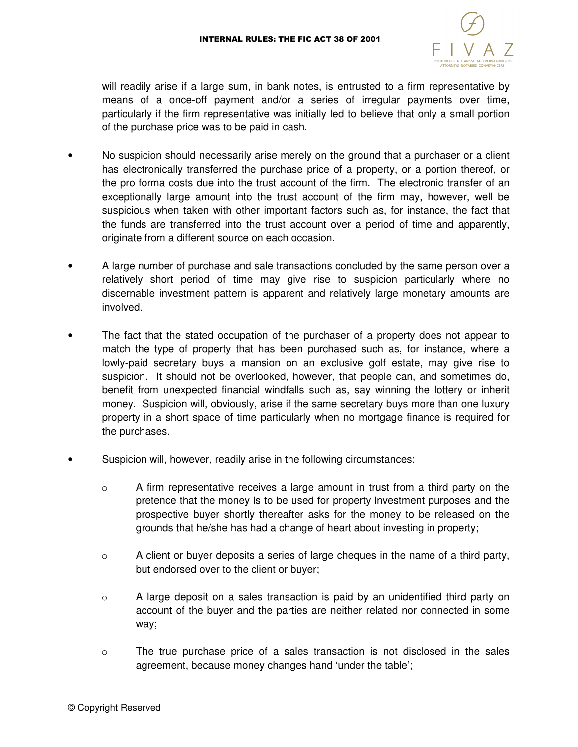

will readily arise if a large sum, in bank notes, is entrusted to a firm representative by means of a once-off payment and/or a series of irregular payments over time, particularly if the firm representative was initially led to believe that only a small portion of the purchase price was to be paid in cash.

- No suspicion should necessarily arise merely on the ground that a purchaser or a client has electronically transferred the purchase price of a property, or a portion thereof, or the pro forma costs due into the trust account of the firm. The electronic transfer of an exceptionally large amount into the trust account of the firm may, however, well be suspicious when taken with other important factors such as, for instance, the fact that the funds are transferred into the trust account over a period of time and apparently, originate from a different source on each occasion.
- A large number of purchase and sale transactions concluded by the same person over a relatively short period of time may give rise to suspicion particularly where no discernable investment pattern is apparent and relatively large monetary amounts are involved.
- The fact that the stated occupation of the purchaser of a property does not appear to match the type of property that has been purchased such as, for instance, where a lowly-paid secretary buys a mansion on an exclusive golf estate, may give rise to suspicion. It should not be overlooked, however, that people can, and sometimes do, benefit from unexpected financial windfalls such as, say winning the lottery or inherit money. Suspicion will, obviously, arise if the same secretary buys more than one luxury property in a short space of time particularly when no mortgage finance is required for the purchases.
- Suspicion will, however, readily arise in the following circumstances:
	- $\circ$  A firm representative receives a large amount in trust from a third party on the pretence that the money is to be used for property investment purposes and the prospective buyer shortly thereafter asks for the money to be released on the grounds that he/she has had a change of heart about investing in property;
	- o A client or buyer deposits a series of large cheques in the name of a third party, but endorsed over to the client or buyer;
	- $\circ$  A large deposit on a sales transaction is paid by an unidentified third party on account of the buyer and the parties are neither related nor connected in some way;
	- o The true purchase price of a sales transaction is not disclosed in the sales agreement, because money changes hand 'under the table';